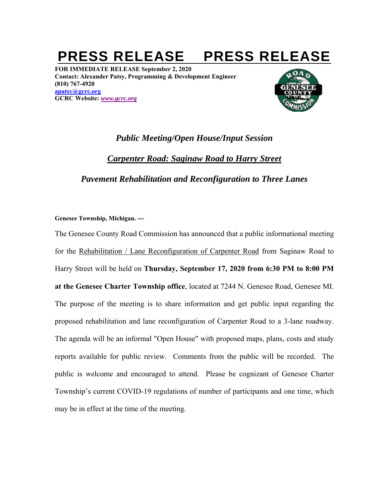## PRESS RELEASE PRESS RELEASE

**FOR IMMEDIATE RELEASE September 2, 2020 Contact: Alexander Patsy, Programming & Development Engineer (810) 767-4920 apatsy@gcrc.org GCRC Website:** *www.gcrc.org*



## *Public Meeting/Open House/Input Session Carpenter Road: Saginaw Road to Harry Street Pavement Rehabilitation and Reconfiguration to Three Lanes*

## **Genesee Township, Michigan. ---**

The Genesee County Road Commission has announced that a public informational meeting for the Rehabilitation / Lane Reconfiguration of Carpenter Road from Saginaw Road to Harry Street will be held on **Thursday, September 17, 2020 from 6:30 PM to 8:00 PM at the Genesee Charter Township office**, located at 7244 N. Genesee Road, Genesee MI. The purpose of the meeting is to share information and get public input regarding the proposed rehabilitation and lane reconfiguration of Carpenter Road to a 3-lane roadway. The agenda will be an informal "Open House" with proposed maps, plans, costs and study reports available for public review. Comments from the public will be recorded. The public is welcome and encouraged to attend. Please be cognizant of Genesee Charter Township's current COVID-19 regulations of number of participants and one time, which may be in effect at the time of the meeting.